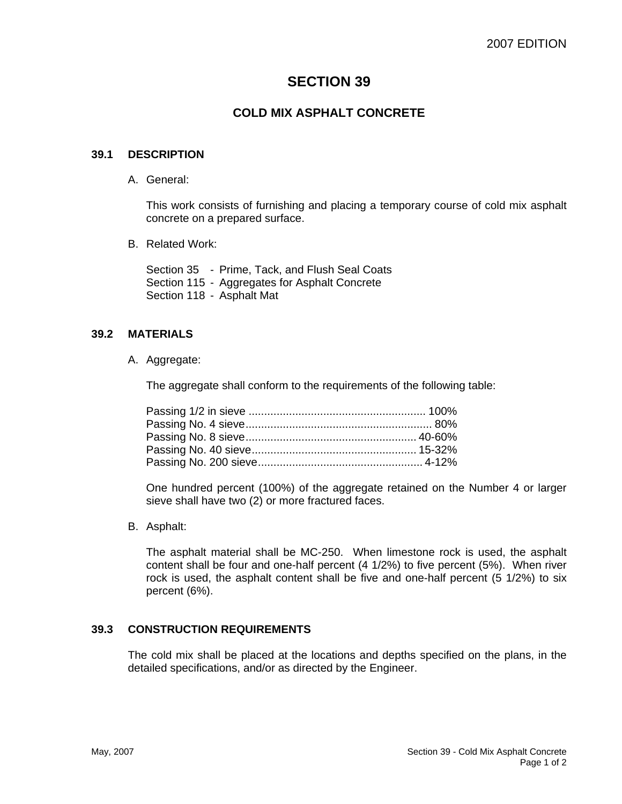# **SECTION 39**

## **COLD MIX ASPHALT CONCRETE**

#### **39.1 DESCRIPTION**

A. General:

This work consists of furnishing and placing a temporary course of cold mix asphalt concrete on a prepared surface.

B. Related Work:

Section 35 - Prime, Tack, and Flush Seal Coats Section 115 - Aggregates for Asphalt Concrete Section 118 - Asphalt Mat

### **39.2 MATERIALS**

A. Aggregate:

The aggregate shall conform to the requirements of the following table:

One hundred percent (100%) of the aggregate retained on the Number 4 or larger sieve shall have two (2) or more fractured faces.

B. Asphalt:

The asphalt material shall be MC-250. When limestone rock is used, the asphalt content shall be four and one-half percent (4 1/2%) to five percent (5%). When river rock is used, the asphalt content shall be five and one-half percent (5 1/2%) to six percent (6%).

### **39.3 CONSTRUCTION REQUIREMENTS**

The cold mix shall be placed at the locations and depths specified on the plans, in the detailed specifications, and/or as directed by the Engineer.